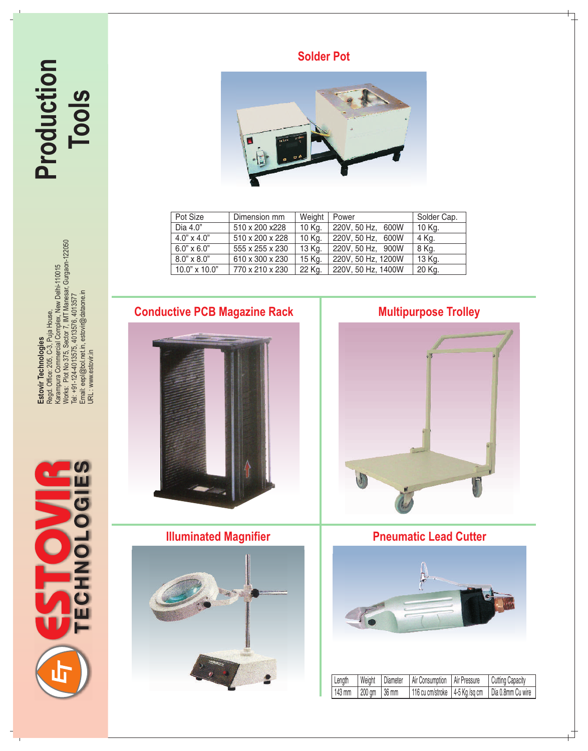**Production Tools** **Solder Pot**



| Pot Size           | Dimension mm    | Weight | Power              | Solder Cap. |
|--------------------|-----------------|--------|--------------------|-------------|
| Dia 4.0"           | 510 x 200 x228  | 10 Kg. | 220V, 50 Hz, 600W  | 10 Kg.      |
| $4.0" \times 4.0"$ | 510 x 200 x 228 | 10 Kg. | 220V, 50 Hz, 600W  | 4 Kg.       |
| $6.0" \times 6.0"$ | 555 x 255 x 230 | 13 Kg. | 220V, 50 Hz, 900W  | 8 Kg.       |
| $8.0" \times 8.0"$ | 610 x 300 x 230 | 15 Kg. | 220V, 50 Hz, 1200W | 13 Kg.      |
| 10.0" x 10.0"      | 770 x 210 x 230 | 22 Kg. | 220V, 50 Hz, 1400W | 20 Kg.      |

Estovir Technologies<br>Regd. Office: 205, C-3, Puja House,<br>Karampura Commercial Complex, New Delhi-110015<br>Works: Plot No 375, Sector 7, IMT Manesar, Gurgaon-122050<br>Tel: +91-124-4013575, 4013576, 4013577<br>Email: eepl@bol.net.i Works: Plot No 375, Sector 7, IMT Manesar, Gurgaon-122050 Karampura Commercial Complex, New Delhi-110015 Email: eepl@bol.net.in, estovir@dataone.in Tel: +91-124-4013575, 4013576, 4013577 Regd. Office: 205, C-3, Puja House, **Estovir Technologies** URL : www.estovir.in



# **Conductive PCB Magazine Rack Multipurpose Trolley**







## **Illuminated Magnifier | Pneumatic Lead Cutter**



| Length | Weight       | Diameter | <b>Air Consumption</b> | Air Pressure | <b>Cutting Capacity</b>                              |
|--------|--------------|----------|------------------------|--------------|------------------------------------------------------|
| 143 mm | 200 gm 36 mm |          |                        |              | 116 cu cm/stroke   4-5 Kg /sq cm   Dia 0.8mm Cu wire |

ᄀ